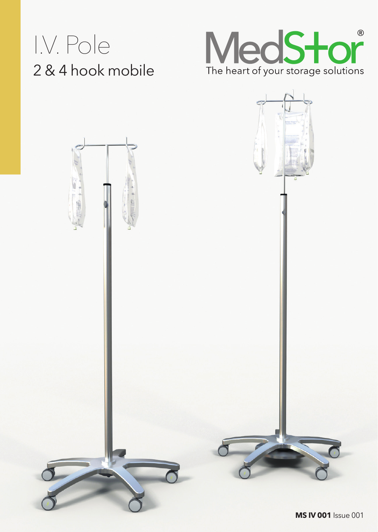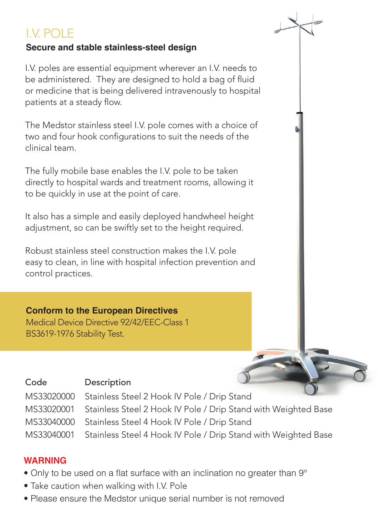# I.V. POLE

## **Secure and stable stainless-steel design**

I.V. poles are essential equipment wherever an I.V. needs to be administered. They are designed to hold a bag of fluid or medicine that is being delivered intravenously to hospital patients at a steady flow.

The Medstor stainless steel I.V. pole comes with a choice of two and four hook configurations to suit the needs of the clinical team.

The fully mobile base enables the I.V. pole to be taken directly to hospital wards and treatment rooms, allowing it to be quickly in use at the point of care.

It also has a simple and easily deployed handwheel height adjustment, so can be swiftly set to the height required.

Robust stainless steel construction makes the I.V. pole easy to clean, in line with hospital infection prevention and control practices.

# **Conform to the European Directives**

Medical Device Directive 92/42/EEC-Class 1 BS3619-1976 Stability Test.

# Code Description

MS33020000 Stainless Steel 2 Hook IV Pole / Drip Stand MS33020001 Stainless Steel 2 Hook IV Pole / Drip Stand with Weighted Base MS33040000 Stainless Steel 4 Hook IV Pole / Drip Stand MS33040001 Stainless Steel 4 Hook IV Pole / Drip Stand with Weighted Base

### **WARNING**

- Only to be used on a flat surface with an inclination no greater than 9°
- Take caution when walking with I.V. Pole
- Please ensure the Medstor unique serial number is not removed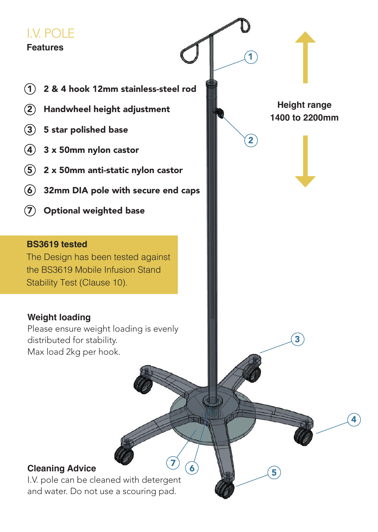